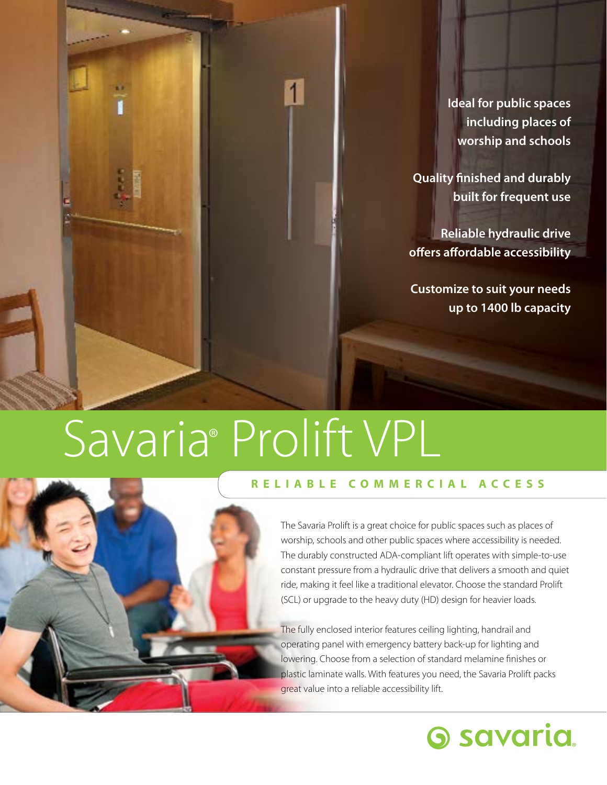**Ideal for public spaces including places of worship and schools**

**Quality finished and durably built for frequent use**

**Reliable hydraulic drive offers affordable accessibility**

**Customize to suit your needs up to 1400 lb capacity**

# Savaria® Prolift VPL



#### **RELIABLE COMMERCIAL ACCESS**

The Savaria Prolift is a great choice for public spaces such as places of worship, schools and other public spaces where accessibility is needed. The durably constructed ADA-compliant lift operates with simple-to-use constant pressure from a hydraulic drive that delivers a smooth and quiet ride, making it feel like a traditional elevator. Choose the standard Prolift (SCL) or upgrade to the heavy duty (HD) design for heavier loads.

The fully enclosed interior features ceiling lighting, handrail and operating panel with emergency battery back-up for lighting and lowering. Choose from a selection of standard melamine finishes or plastic laminate walls. With features you need, the Savaria Prolift packs great value into a reliable accessibility lift.

### **6 savaria**.